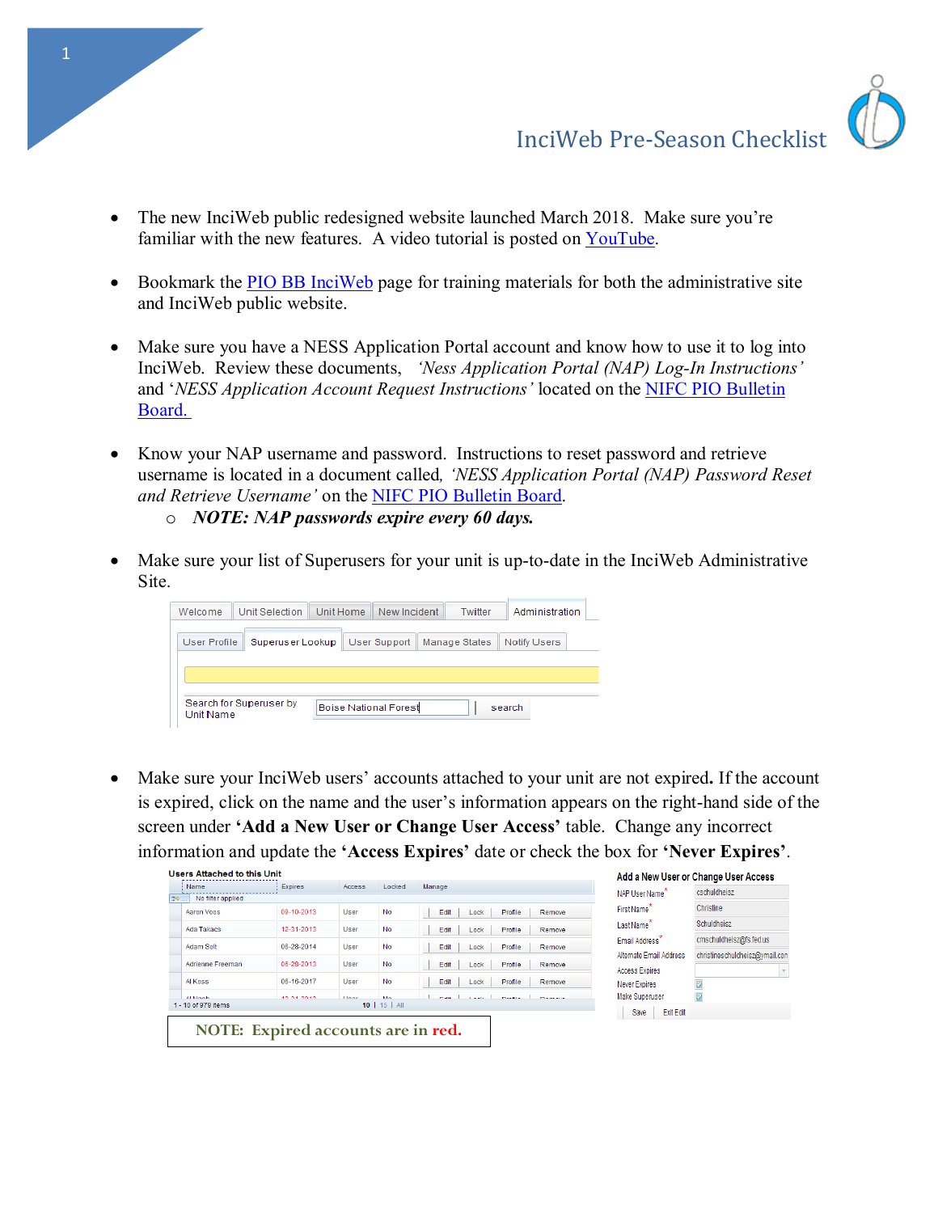

- Bookmark the **PIO BB** InciWeb page for training materials for both the administrative site and InciWeb public website.
- and '*NESS Application Account Request Instructions'* located on the **NIFC PIO Bulletin** [Board.](mailto:http://www.nifc.gov/PIO_bb/inciweb.html)  • Make sure you have a NESS Application Portal account and know how to use it to log into InciWeb. Review these documents, *'Ness Application Portal (NAP) Log-In Instructions'*
- Know your NAP username and password. Instructions to reset password and retrieve username is located in a document called*, 'NESS Application Portal (NAP) Password Reset and Retrieve Username'* on the [NIFC PIO Bulletin Board.](https://www.nifc.gov/fire-information/pio-bulletin-board)
	- o *NOTE: NAP passwords expire every 60 days.*
- Make sure your list of Superusers for your unit is up-to-date in the InciWeb Administrative Site.

| Welcome      | <b>Unit Selection</b> | Unit Home | New Incident        |               | Twitter | Administration      |  |
|--------------|-----------------------|-----------|---------------------|---------------|---------|---------------------|--|
| User Profile | Superuser Lookup      |           | <b>User Support</b> | Manage States |         | <b>Notify Users</b> |  |
|              |                       |           |                     |               |         |                     |  |
|              |                       |           |                     |               |         |                     |  |
|              |                       |           |                     |               |         |                     |  |

• Make sure your InciWeb users' accounts attached to your unit are not expired**.** If the account is expired, click on the name and the user's information appears on the right-hand side of the screen under **'Add a New User or Change User Access'** table. Change any incorrect information and update the **'Access Expires'** date or check the box for **'Never Expires'**.

|               | Name                    | Expires    | <b>Access</b> | Locked          | Manage                                                       | NAP User Name <sup>*</sup> | cschuldheisz                   |
|---------------|-------------------------|------------|---------------|-----------------|--------------------------------------------------------------|----------------------------|--------------------------------|
| $\Rightarrow$ | No filter applied       |            |               |                 |                                                              |                            |                                |
|               | Aaron Voos              | 09-10-2013 | User          | <b>No</b>       | First Name <sup>*</sup><br>Edit<br>Profile<br>Lock<br>Remove |                            | Christine                      |
|               | <b>Ada Takacs</b>       | 12-31-2013 | User          | <b>No</b>       | Last Name <sup>7</sup><br>Edit<br>Profile<br>Lock<br>Remove  |                            | Schuldheisz                    |
|               | <b>Adam Solt</b>        | 06-28-2014 | User          | <b>No</b>       | Edit<br>Profile<br>Lock<br>Remove                            | Email Address <sup>*</sup> | cmschuldheisz@fs.fed.us        |
|               |                         |            |               |                 |                                                              | Alternate Email Address    | christineschuldheisz@ymail.con |
|               | <b>Adrienne Freeman</b> | 06-28-2013 | User          | <b>No</b>       | Edit<br>Lock<br>Profile<br>Remove                            | Access Expires             |                                |
|               | Al Koss                 | 06-16-2017 | User          | <b>No</b>       | Edit<br>Profile<br>Lock<br>Remove                            | <b>Never Expires</b>       | Z                              |
|               | <b>ALMANN</b>           | 10.01.0010 | <b>Lines</b>  | <b>MA</b>       | managed the property of the<br><b>COLLEGE</b>                | <b>Make Superuser</b>      | D                              |
|               | 1 - 10 of 979 items     |            |               | $10$   15   All |                                                              | <b>Exit Edit</b><br>Save   |                                |